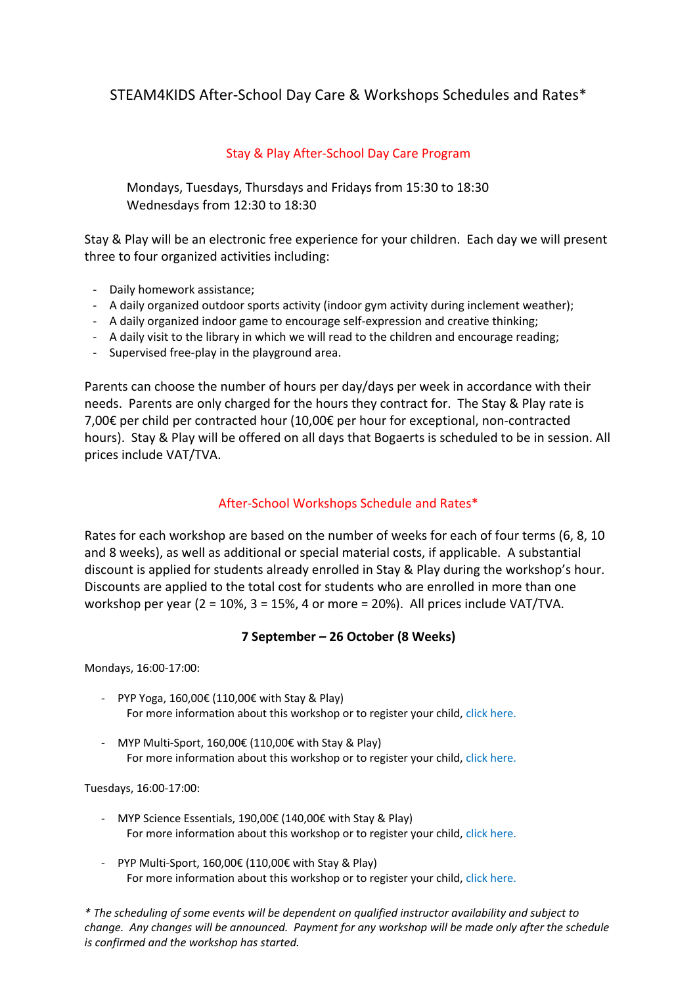# STEAM4KIDS After-School Day Care & Workshops Schedules and Rates\*

## Stay & Play After-School Day Care Program

Mondays, Tuesdays, Thursdays and Fridays from 15:30 to 18:30 Wednesdays from 12:30 to 18:30

Stay & Play will be an electronic free experience for your children. Each day we will present three to four organized activities including:

- Daily homework assistance;
- A daily organized outdoor sports activity (indoor gym activity during inclement weather);
- A daily organized indoor game to encourage self-expression and creative thinking;
- A daily visit to the library in which we will read to the children and encourage reading;
- Supervised free-play in the playground area.

Parents can choose the number of hours per day/days per week in accordance with their needs. Parents are only charged for the hours they contract for. The Stay & Play rate is 7,00€ per child per contracted hour (10,00€ per hour for exceptional, non-contracted hours). Stay & Play will be offered on all days that Bogaerts is scheduled to be in session. All prices include VAT/TVA.

### After-School Workshops Schedule and Rates\*

Rates for each workshop are based on the number of weeks for each of four terms (6, 8, 10 and 8 weeks), as well as additional or special material costs, if applicable. A substantial discount is applied for students already enrolled in Stay & Play during the workshop's hour. Discounts are applied to the total cost for students who are enrolled in more than one workshop per year (2 = 10%, 3 = 15%, 4 or more = 20%). All prices include VAT/TVA.

### **7 September – 26 October (8 Weeks)**

Mondays, 16:00-17:00:

- PYP Yoga, 160,00€ (110,00€ with Stay & Play) For more information about this workshop or to register your child, click here.
- MYP Multi-Sport, 160,00€ (110,00€ with Stay & Play) For more information about this workshop or to register your child, click here.

Tuesdays, 16:00-17:00:

- MYP Science Essentials, 190,00€ (140,00€ with Stay & Play) For more information about this workshop or to register your child, click here.
- PYP Multi-Sport, 160,00€ (110,00€ with Stay & Play) For more information about this workshop or to register your child, click here.

*\* The scheduling of some events will be dependent on qualified instructor availability and subject to change. Any changes will be announced. Payment for any workshop will be made only after the schedule is confirmed and the workshop has started.*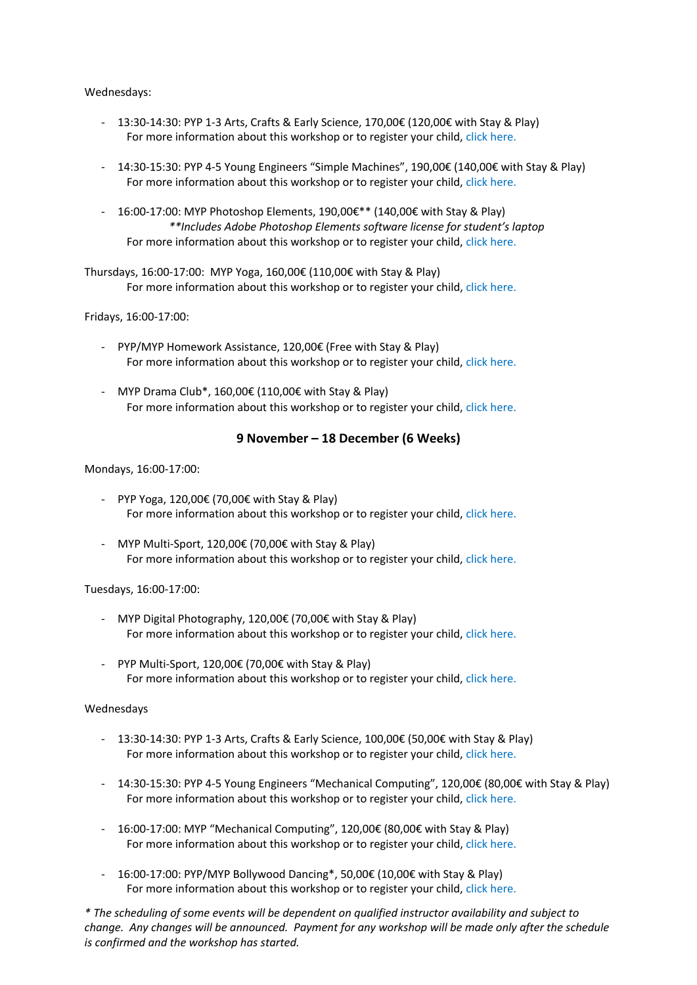#### Wednesdays:

- 13:30-14:30: PYP 1-3 Arts, Crafts & Early Science, 170,00€ (120,00€ with Stay & Play) For more information about this workshop or to register your child, click here.
- 14:30-15:30: PYP 4-5 Young Engineers "Simple Machines", 190,00€ (140,00€ with Stay & Play) For more information about this workshop or to register your child, click here.
- 16:00-17:00: MYP Photoshop Elements, 190,00€\*\* (140,00€ with Stay & Play) *\*\*Includes Adobe Photoshop Elements software license for student's laptop* For more information about this workshop or to register your child, click here.

Thursdays, 16:00-17:00: MYP Yoga, 160,00€ (110,00€ with Stay & Play) For more information about this workshop or to register your child, click here.

Fridays, 16:00-17:00:

- PYP/MYP Homework Assistance, 120,00€ (Free with Stay & Play) For more information about this workshop or to register your child, click here.
- MYP Drama Club\*, 160,00€ (110,00€ with Stay & Play) For more information about this workshop or to register your child, click here.

### **9 November – 18 December (6 Weeks)**

Mondays, 16:00-17:00:

- PYP Yoga, 120,00€ (70,00€ with Stay & Play) For more information about this workshop or to register your child, click here.
- MYP Multi-Sport, 120,00€ (70,00€ with Stay & Play) For more information about this workshop or to register your child, click here.

#### Tuesdays, 16:00-17:00:

- MYP Digital Photography, 120,00€ (70,00€ with Stay & Play) For more information about this workshop or to register your child, click here.
- PYP Multi-Sport, 120,00€ (70,00€ with Stay & Play) For more information about this workshop or to register your child, click here.

#### Wednesdays

- 13:30-14:30: PYP 1-3 Arts, Crafts & Early Science, 100,00€ (50,00€ with Stay & Play) For more information about this workshop or to register your child, click here.
- 14:30-15:30: PYP 4-5 Young Engineers "Mechanical Computing", 120,00€ (80,00€ with Stay & Play) For more information about this workshop or to register your child, click here.
- 16:00-17:00: MYP "Mechanical Computing", 120,00€ (80,00€ with Stay & Play) For more information about this workshop or to register your child, click here.
- 16:00-17:00: PYP/MYP Bollywood Dancing\*, 50,00€ (10,00€ with Stay & Play) For more information about this workshop or to register your child, click here.

*\* The scheduling of some events will be dependent on qualified instructor availability and subject to change. Any changes will be announced. Payment for any workshop will be made only after the schedule is confirmed and the workshop has started.*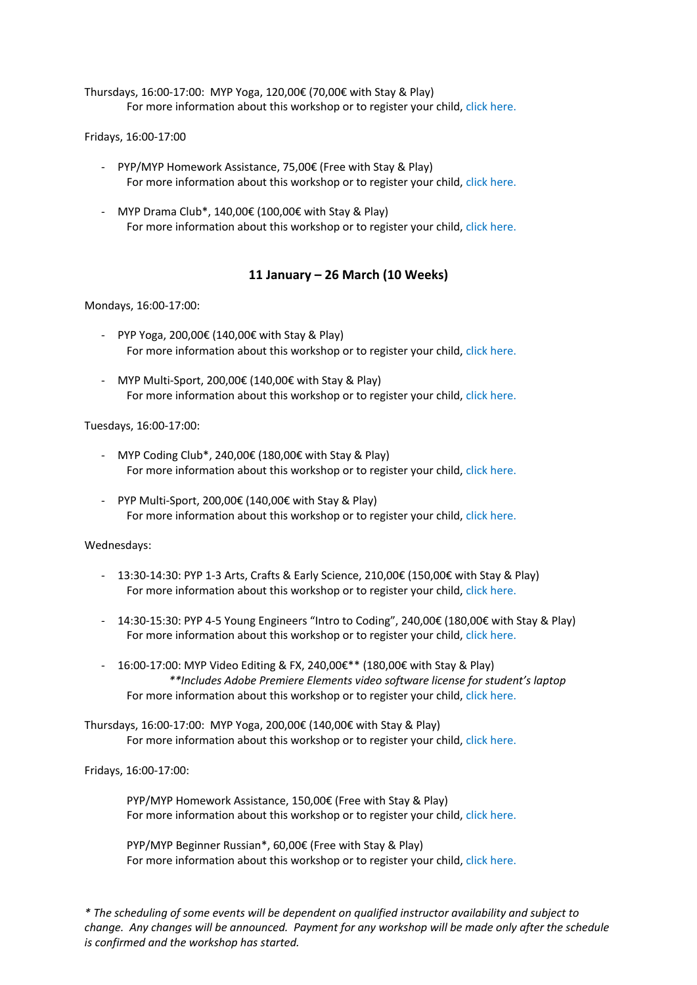Thursdays, 16:00-17:00: MYP Yoga, 120,00€ (70,00€ with Stay & Play) For more information about this workshop or to register your child, click here.

#### Fridays, 16:00-17:00

- PYP/MYP Homework Assistance, 75,00€ (Free with Stay & Play) For more information about this workshop or to register your child, click here.
- MYP Drama Club\*, 140,00€ (100,00€ with Stay & Play) For more information about this workshop or to register your child, click here.

#### **11 January – 26 March (10 Weeks)**

#### Mondays, 16:00-17:00:

- PYP Yoga, 200,00€ (140,00€ with Stay & Play) For more information about this workshop or to register your child, click here.
- MYP Multi-Sport, 200,00€ (140,00€ with Stay & Play) For more information about this workshop or to register your child, click here.

#### Tuesdays, 16:00-17:00:

- MYP Coding Club\*, 240,00€ (180,00€ with Stay & Play) For more information about this workshop or to register your child, click here.
- PYP Multi-Sport, 200,00€ (140,00€ with Stay & Play) For more information about this workshop or to register your child, click here.

#### Wednesdays:

- 13:30-14:30: PYP 1-3 Arts, Crafts & Early Science, 210,00€ (150,00€ with Stay & Play) For more information about this workshop or to register your child, click here.
- 14:30-15:30: PYP 4-5 Young Engineers "Intro to Coding", 240,00€ (180,00€ with Stay & Play) For more information about this workshop or to register your child, click here.
- 16:00-17:00: MYP Video Editing & FX, 240,00€\*\* (180,00€ with Stay & Play) *\*\*Includes Adobe Premiere Elements video software license for student's laptop* For more information about this workshop or to register your child, click here.

Thursdays, 16:00-17:00: MYP Yoga, 200,00€ (140,00€ with Stay & Play) For more information about this workshop or to register your child, click here.

Fridays, 16:00-17:00:

PYP/MYP Homework Assistance, 150,00€ (Free with Stay & Play) For more information about this workshop or to register your child, click here.

PYP/MYP Beginner Russian\*, 60,00€ (Free with Stay & Play) For more information about this workshop or to register your child, click here.

*\* The scheduling of some events will be dependent on qualified instructor availability and subject to change. Any changes will be announced. Payment for any workshop will be made only after the schedule is confirmed and the workshop has started.*